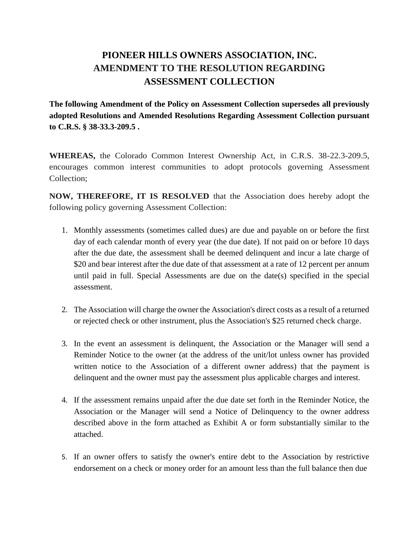## **PIONEER HILLS OWNERS ASSOCIATION, INC. AMENDMENT TO THE RESOLUTION REGARDING ASSESSMENT COLLECTION**

**The following Amendment of the Policy on Assessment Collection supersedes all previously adopted Resolutions and Amended Resolutions Regarding Assessment Collection pursuant to C.R.S. § 38-33.3-209.5 .**

**WHEREAS,** the Colorado Common Interest Ownership Act, in C.R.S. 38-22.3-209.5, encourages common interest communities to adopt protocols governing Assessment Collection;

**NOW, THEREFORE, IT IS RESOLVED** that the Association does hereby adopt the following policy governing Assessment Collection:

- 1. Monthly assessments (sometimes called dues) are due and payable on or before the first day of each calendar month of every year (the due date). If not paid on or before 10 days after the due date, the assessment shall be deemed delinquent and incur a late charge of \$20 and bear interest after the due date of that assessment at a rate of 12 percent per annum until paid in full. Special Assessments are due on the date(s) specified in the special assessment.
- 2. The Association will charge the owner the Association's direct costs as a result of a returned or rejected check or other instrument, plus the Association's \$25 returned check charge.
- 3. In the event an assessment is delinquent, the Association or the Manager will send a Reminder Notice to the owner (at the address of the unit/lot unless owner has provided written notice to the Association of a different owner address) that the payment is delinquent and the owner must pay the assessment plus applicable charges and interest.
- 4. If the assessment remains unpaid after the due date set forth in the Reminder Notice, the Association or the Manager will send a Notice of Delinquency to the owner address described above in the form attached as Exhibit A or form substantially similar to the attached.
- 5. If an owner offers to satisfy the owner's entire debt to the Association by restrictive endorsement on a check or money order for an amount less than the full balance then due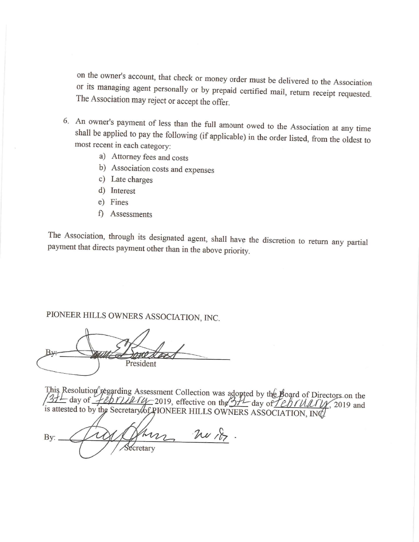on the owner's account, that check or money order must be delivered to the Association or its managing agent personally or by prepaid certified mail, return receipt requested. The Association may reject or accept the offer.

- 6. An owner's payment of less than the full amount owed to the Association at any time shall be applied to pay the following (if applicable) in the order listed, from the oldest to most recent in each category:
	- a) Attorney fees and costs
	- b) Association costs and expenses
	- c) Late charges
	- d) Interest
	- e) Fines
	- f) Assessments

The Association, through its designated agent, shall have the discretion to return any partial payment that directs payment other than in the above priority.

# PIONEER HILLS OWNERS ASSOCIATION, INC.

President

This Resolution regarding Assessment Collection was adopted by the Board of Directors on the  $\frac{31}{21}$  day of  $\frac{1}{21}$  day of  $\frac{1}{21}$  day of  $\frac{1}{21}$  day of  $\frac{1}{21}$  day of  $\frac{1}{21}$  day of  $\frac{1}{21}$  day of is attested to by the Secretary of PIONEER HILLS OWNERS ASSOCIATION, INC.

m nor. By: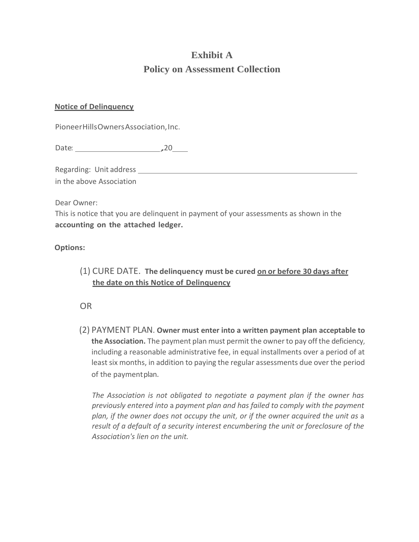# **Exhibit A Policy on Assessment Collection**

### **Notice of Delinquency**

PioneerHillsOwnersAssociation,Inc.

Date: 20

Regarding: Unit address

in the above Association

Dear Owner:

This is notice that you are delinquent in payment of your assessments as shown in the **accounting on the attached ledger.** 

### **Options:**

(1) CURE DATE. **The delinquency must be cured on or before 30 days after the date on this Notice of Delinquency**

OR

(2) PAYMENT PLAN. **Owner must enter into a written payment plan acceptable to the Association.** The payment plan must permit the owner to pay off the deficiency, including a reasonable administrative fee, in equal installments over a period of at least six months, in addition to paying the regular assessments due over the period of the payment plan.

*The Association is not obligated to negotiate a payment plan if the owner has previously entered into* a *payment plan and has failed to comply with the payment plan, if the owner does not occupy the unit, or if the owner acquired the unit as* a *result of a default of a security interest encumbering the unit or foreclosure of the Association's lien on the unit.*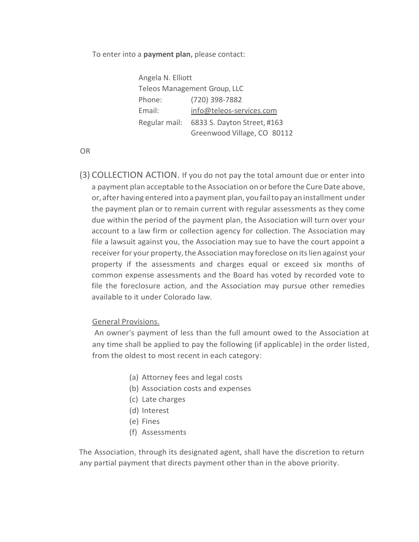#### To enter into a **payment plan,** please contact:

Angela N. Elliott Teleos Management Group, LLC Phone: (720) 398-7882 Email: [info@teleos-services.com](mailto:info@teleos-services.com) Regular mail: 6833 S. Dayton Street, #163 Greenwood Village, CO 80112

OR

(3) COLLECTION ACTION. If you do not pay the total amount due or enter into a payment plan acceptable to the Association on or before the Cure Date above, or, after having entered intoa payment plan, youfailtopay aninstallment under the payment plan or to remain current with regular assessments as they come due within the period of the payment plan, the Association will turn over your account to a law firm or collection agency for collection. The Association may file a lawsuit against you, the Association may sue to have the court appoint a receiver for your property, the Association may foreclose on its lien against your property if the assessments and charges equal or exceed six months of common expense assessments and the Board has voted by recorded vote to file the foreclosure action, and the Association may pursue other remedies available to it under Colorado law.

#### General Provisions.

An owner's payment of less than the full amount owed to the Association at any time shall be applied to pay the following (if applicable) in the order listed, from the oldest to most recent in each category:

- (a) Attorney fees and legal costs
- (b) Association costs and expenses
- (c) Late charges
- (d) Interest
- (e) Fines
- (f) Assessments

The Association, through its designated agent, shall have the discretion to return any partial payment that directs payment other than in the above priority.